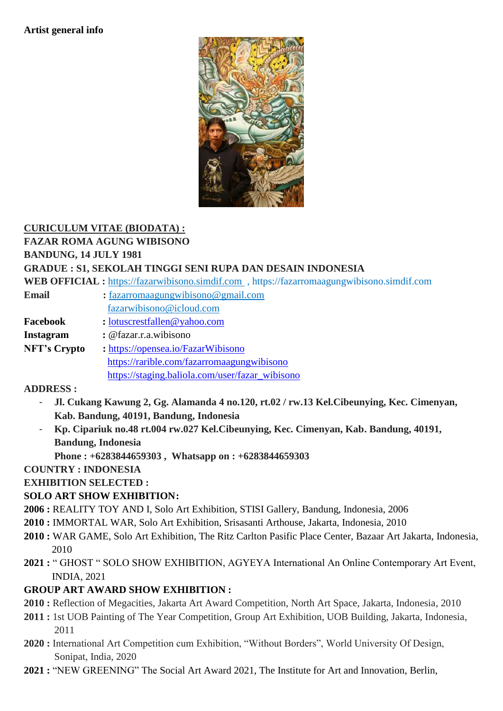#### **Artist general info**



# **CURICULUM VITAE (BIODATA) :**

**FAZAR ROMA AGUNG WIBISONO**

### **BANDUNG, 14 JULY 1981**

#### **GRADUE : S1, SEKOLAH TINGGI SENI RUPA DAN DESAIN INDONESIA**

**WEB OFFICIAL :** [https://fazarwibisono.simdif.com](https://fazarwibisono.simdif.com/) , https://fazarromaagungwibisono.simdif.com

- **Email :** [fazarromaagungwibisono@gmail.com](mailto:fazarromaagungwibisono@gmail.com) [fazarwibisono@icloud.com](mailto:fazarwibisono@icloud.com) **Facebook :** [lotuscrestfallen@yahoo.com](mailto:lotuscrestfallen@yahoo.com)
- **Instagram :** @fazar.r.a.wibisono

**NFT's Crypto :** <https://opensea.io/FazarWibisono> <https://rarible.com/fazarromaagungwibisono> [https://staging.baliola.com/user/fazar\\_wibisono](https://staging.baliola.com/user/fazar_wibisono)

# **ADDRESS :**

- **Jl. Cukang Kawung 2, Gg. Alamanda 4 no.120, rt.02 / rw.13 Kel.Cibeunying, Kec. Cimenyan, Kab. Bandung, 40191, Bandung, Indonesia**
- **Kp. Cipariuk no.48 rt.004 rw.027 Kel.Cibeunying, Kec. Cimenyan, Kab. Bandung, 40191, Bandung, Indonesia**
	- **Phone : +6283844659303 , Whatsapp on : +6283844659303**

# **COUNTRY : INDONESIA**

**EXHIBITION SELECTED :**

# **SOLO ART SHOW EXHIBITION:**

- **2006 :** REALITY TOY AND I, Solo Art Exhibition, STISI Gallery, Bandung, Indonesia, 2006
- **2010 :** IMMORTAL WAR, Solo Art Exhibition, Srisasanti Arthouse, Jakarta, Indonesia, 2010
- **2010 :** WAR GAME, Solo Art Exhibition, The Ritz Carlton Pasific Place Center, Bazaar Art Jakarta, Indonesia, 2010
- **2021 :** " GHOST " SOLO SHOW EXHIBITION, AGYEYA International An Online Contemporary Art Event, INDIA, 2021

# **GROUP ART AWARD SHOW EXHIBITION :**

- **2010 :** Reflection of Megacities, Jakarta Art Award Competition, North Art Space, Jakarta, Indonesia, 2010
- **2011 :** 1st UOB Painting of The Year Competition, Group Art Exhibition, UOB Building, Jakarta, Indonesia, 2011
- **2020 :** International Art Competition cum Exhibition, "Without Borders", World University Of Design, Sonipat, India, 2020
- **2021 :** "NEW GREENING" The Social Art Award 2021, The Institute for Art and Innovation, Berlin,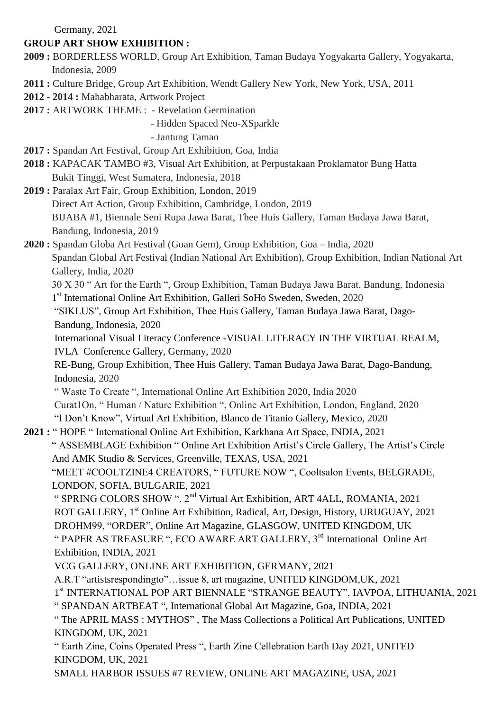Germany, 2021

# **GROUP ART SHOW EXHIBITION :**

- **2009 :** BORDERLESS WORLD, Group Art Exhibition, Taman Budaya Yogyakarta Gallery, Yogyakarta, Indonesia, 2009
- **2011 :** Culture Bridge, Group Art Exhibition, Wendt Gallery New York, New York, USA, 2011
- **2012 - 2014 :** Mahabharata, Artwork Project
- **2017 :** ARTWORK THEME : Revelation Germination

- Hidden Spaced Neo-XSparkle

- Jantung Taman

- **2017 :** Spandan Art Festival, Group Art Exhibition, Goa, India
- **2018 :** KAPACAK TAMBO #3, Visual Art Exhibition, at Perpustakaan Proklamator Bung Hatta Bukit Tinggi, West Sumatera, Indonesia, 2018

**2019 :** Paralax Art Fair, Group Exhibition, London, 2019 Direct Art Action, Group Exhibition, Cambridge, London, 2019

 BIJABA #1, Biennale Seni Rupa Jawa Barat, Thee Huis Gallery, Taman Budaya Jawa Barat, Bandung, Indonesia, 2019

**2020 :** Spandan Globa Art Festival (Goan Gem), Group Exhibition, Goa – India, 2020 Spandan Global Art Festival (Indian National Art Exhibition), Group Exhibition, Indian National Art Gallery, India, 2020

 30 X 30 " Art for the Earth ", Group Exhibition, Taman Budaya Jawa Barat, Bandung, Indonesia 1<sup>st</sup> International Online Art Exhibition, Galleri SoHo Sweden, Sweden, 2020

 "SIKLUS", Group Art Exhibition, Thee Huis Gallery, Taman Budaya Jawa Barat, Dago-Bandung, Indonesia, 2020

 International Visual Literacy Conference -VISUAL LITERACY IN THE VIRTUAL REALM, IVLA Conference Gallery, Germany, 2020

RE-Bung, Group Exhibition, Thee Huis Gallery, Taman Budaya Jawa Barat, Dago-Bandung, Indonesia, 2020

" Waste To Create ", International Online Art Exhibition 2020, India 2020

Curat1On, " Human / Nature Exhibition ", Online Art Exhibition, London, England, 2020 "I Don't Know", Virtual Art Exhibition, Blanco de Titanio Gallery, Mexico, 2020

**2021 :** " HOPE " International Online Art Exhibition, Karkhana Art Space, INDIA, 2021

 " ASSEMBLAGE Exhibition " Online Art Exhibition Artist's Circle Gallery, The Artist's Circle And AMK Studio & Services, Greenville, TEXAS, USA, 2021

 "MEET #COOLTZINE4 CREATORS, " FUTURE NOW ", Cooltsalon Events, BELGRADE, LONDON, SOFIA, BULGARIE, 2021

" SPRING COLORS SHOW ", 2nd Virtual Art Exhibition, ART 4ALL, ROMANIA, 2021 ROT GALLERY, 1<sup>st</sup> Online Art Exhibition, Radical, Art, Design, History, URUGUAY, 2021 DROHM99, "ORDER", Online Art Magazine, GLASGOW, UNITED KINGDOM, UK " PAPER AS TREASURE ", ECO AWARE ART GALLERY, 3<sup>rd</sup> International Online Art Exhibition, INDIA, 2021

VCG GALLERY, ONLINE ART EXHIBITION, GERMANY, 2021

A.R.T "artistsrespondingto"…issue 8, art magazine, UNITED KINGDOM,UK, 2021

1 st INTERNATIONAL POP ART BIENNALE "STRANGE BEAUTY", IAVPOA, LITHUANIA, 2021

" SPANDAN ARTBEAT ", International Global Art Magazine, Goa, INDIA, 2021

" The APRIL MASS : MYTHOS" , The Mass Collections a Political Art Publications, UNITED KINGDOM, UK, 2021

" Earth Zine, Coins Operated Press ", Earth Zine Cellebration Earth Day 2021, UNITED KINGDOM, UK, 2021

SMALL HARBOR ISSUES #7 REVIEW, ONLINE ART MAGAZINE, USA, 2021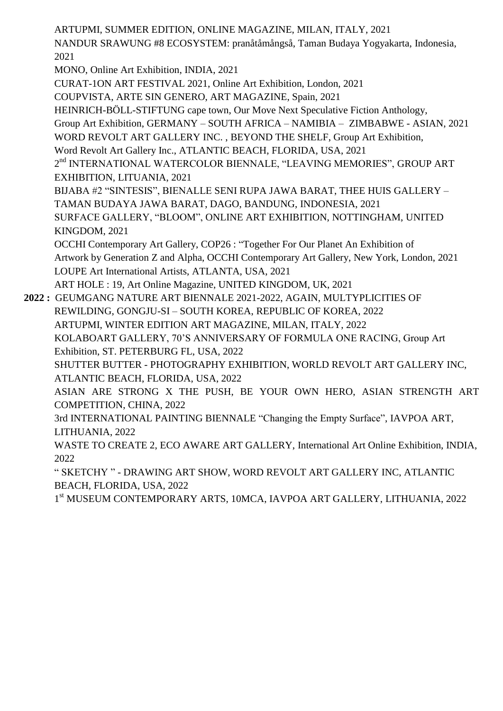ARTUPMI, SUMMER EDITION, ONLINE MAGAZINE, MILAN, ITALY, 2021 NANDUR SRAWUNG #8 ECOSYSTEM: pranåtåmångså, Taman Budaya Yogyakarta, Indonesia, 2021 MONO, Online Art Exhibition, INDIA, 2021 CURAT-1ON ART FESTIVAL 2021, Online Art Exhibition, London, 2021 COUPVISTA, ARTE SIN GENERO, ART MAGAZINE, Spain, 2021 HEINRICH-BÖLL-STIFTUNG cape town, Our Move Next Speculative Fiction Anthology, Group Art Exhibition, GERMANY – SOUTH AFRICA – NAMIBIA – ZIMBABWE - ASIAN, 2021 WORD REVOLT ART GALLERY INC. , BEYOND THE SHELF, Group Art Exhibition, Word Revolt Art Gallery Inc., ATLANTIC BEACH, FLORIDA, USA, 2021 2<sup>nd</sup> INTERNATIONAL WATERCOLOR BIENNALE, "LEAVING MEMORIES", GROUP ART EXHIBITION, LITUANIA, 2021 BIJABA #2 "SINTESIS", BIENALLE SENI RUPA JAWA BARAT, THEE HUIS GALLERY – TAMAN BUDAYA JAWA BARAT, DAGO, BANDUNG, INDONESIA, 2021 SURFACE GALLERY, "BLOOM", ONLINE ART EXHIBITION, NOTTINGHAM, UNITED KINGDOM, 2021 OCCHI Contemporary Art Gallery, COP26 : "Together For Our Planet An Exhibition of Artwork by Generation Z and Alpha, OCCHI Contemporary Art Gallery, New York, London, 2021 LOUPE Art International Artists, ATLANTA, USA, 2021 ART HOLE : 19, Art Online Magazine, UNITED KINGDOM, UK, 2021 **2022 :** GEUMGANG NATURE ART BIENNALE 2021-2022, AGAIN, MULTYPLICITIES OF REWILDING, GONGJU-SI – SOUTH KOREA, REPUBLIC OF KOREA, 2022 ARTUPMI, WINTER EDITION ART MAGAZINE, MILAN, ITALY, 2022 KOLABOART GALLERY, 70'S ANNIVERSARY OF FORMULA ONE RACING, Group Art Exhibition, ST. PETERBURG FL, USA, 2022 SHUTTER BUTTER - PHOTOGRAPHY EXHIBITION, WORLD REVOLT ART GALLERY INC, ATLANTIC BEACH, FLORIDA, USA, 2022 ASIAN ARE STRONG X THE PUSH, BE YOUR OWN HERO, ASIAN STRENGTH ART COMPETITION, CHINA, 2022 3rd INTERNATIONAL PAINTING BIENNALE "Changing the Empty Surface", IAVPOA ART, LITHUANIA, 2022 WASTE TO CREATE 2, ECO AWARE ART GALLERY, International Art Online Exhibition, INDIA, 2022 " SKETCHY " - DRAWING ART SHOW, WORD REVOLT ART GALLERY INC, ATLANTIC BEACH, FLORIDA, USA, 2022 1 st MUSEUM CONTEMPORARY ARTS, 10MCA, IAVPOA ART GALLERY, LITHUANIA, 2022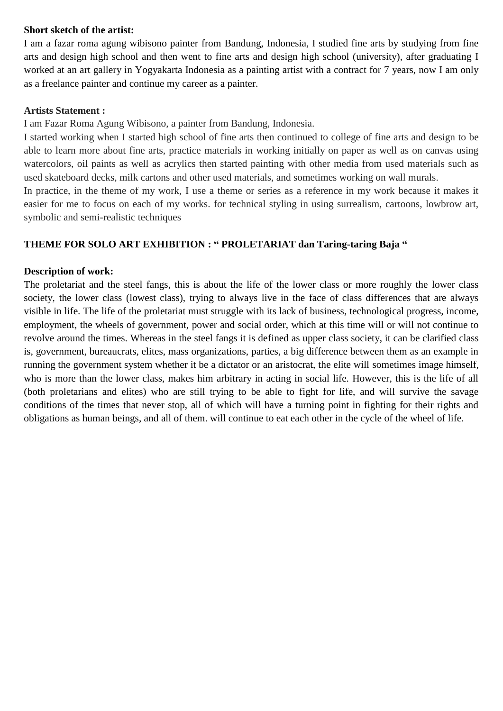#### **Short sketch of the artist:**

I am a fazar roma agung wibisono painter from Bandung, Indonesia, I studied fine arts by studying from fine arts and design high school and then went to fine arts and design high school (university), after graduating I worked at an art gallery in Yogyakarta Indonesia as a painting artist with a contract for 7 years, now I am only as a freelance painter and continue my career as a painter.

#### **Artists Statement :**

I am Fazar Roma Agung Wibisono, a painter from Bandung, Indonesia.

I started working when I started high school of fine arts then continued to college of fine arts and design to be able to learn more about fine arts, practice materials in working initially on paper as well as on canvas using watercolors, oil paints as well as acrylics then started painting with other media from used materials such as used skateboard decks, milk cartons and other used materials, and sometimes working on wall murals.

In practice, in the theme of my work, I use a theme or series as a reference in my work because it makes it easier for me to focus on each of my works. for technical styling in using surrealism, cartoons, lowbrow art, symbolic and semi-realistic techniques

### **THEME FOR SOLO ART EXHIBITION : " PROLETARIAT dan Taring-taring Baja "**

#### **Description of work:**

The proletariat and the steel fangs, this is about the life of the lower class or more roughly the lower class society, the lower class (lowest class), trying to always live in the face of class differences that are always visible in life. The life of the proletariat must struggle with its lack of business, technological progress, income, employment, the wheels of government, power and social order, which at this time will or will not continue to revolve around the times. Whereas in the steel fangs it is defined as upper class society, it can be clarified class is, government, bureaucrats, elites, mass organizations, parties, a big difference between them as an example in running the government system whether it be a dictator or an aristocrat, the elite will sometimes image himself, who is more than the lower class, makes him arbitrary in acting in social life. However, this is the life of all (both proletarians and elites) who are still trying to be able to fight for life, and will survive the savage conditions of the times that never stop, all of which will have a turning point in fighting for their rights and obligations as human beings, and all of them. will continue to eat each other in the cycle of the wheel of life.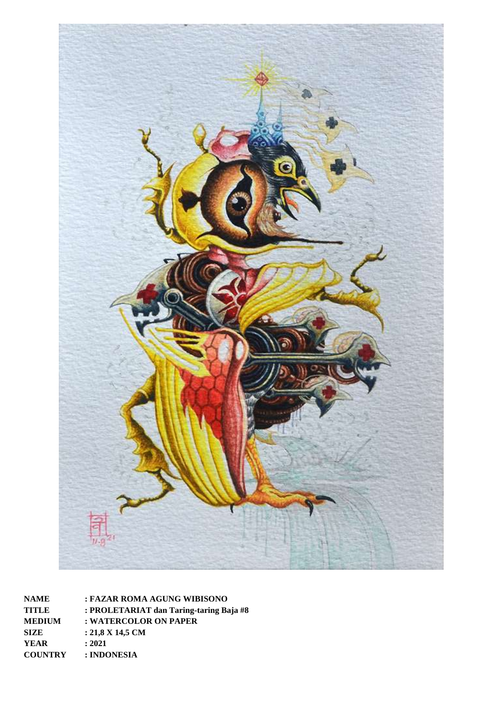

**NAME : FAZAR ROMA AGUNG WIBISONO TITLE : PROLETARIAT dan Taring-taring Baja #8 MEDIUM : WATERCOLOR ON PAPER SIZE : 21,8 X 14,5 CM YEAR : 2021 COUNTRY : INDONESIA**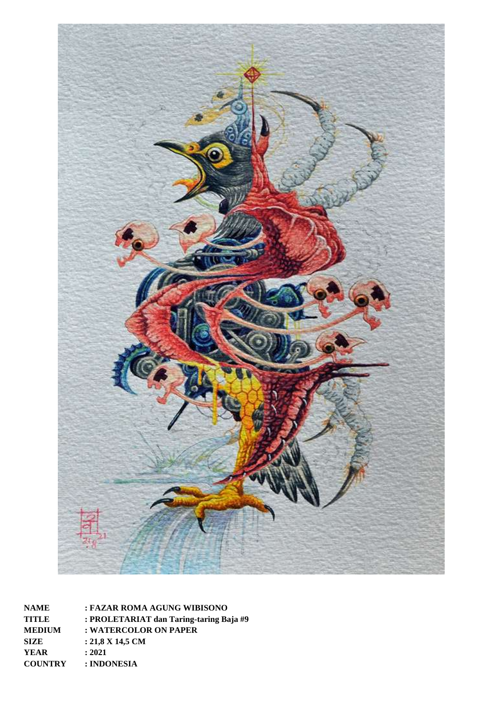

**NAME : FAZAR ROMA AGUNG WIBISONO TITLE : PROLETARIAT dan Taring-taring Baja #9 MEDIUM : WATERCOLOR ON PAPER SIZE : 21,8 X 14,5 CM YEAR : 2021 COUNTRY : INDONESIA**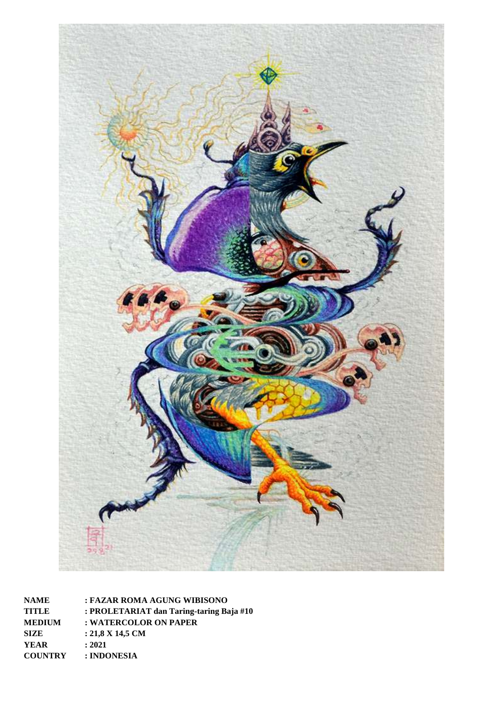

**NAME : FAZAR ROMA AGUNG WIBISONO TITLE : PROLETARIAT dan Taring-taring Baja #10 MEDIUM : WATERCOLOR ON PAPER SIZE : 21,8 X 14,5 CM YEAR : 2021 COUNTRY : INDONESIA**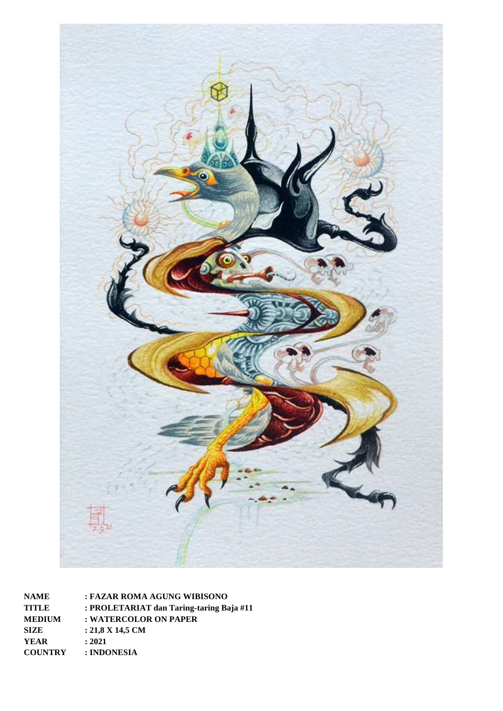

**NAME : FAZAR ROMA AGUNG WIBISONO TITLE : PROLETARIAT dan Taring-taring Baja #11 MEDIUM : WATERCOLOR ON PAPER SIZE : 21,8 X 14,5 CM YEAR : 2021 COUNTRY : INDONESIA**